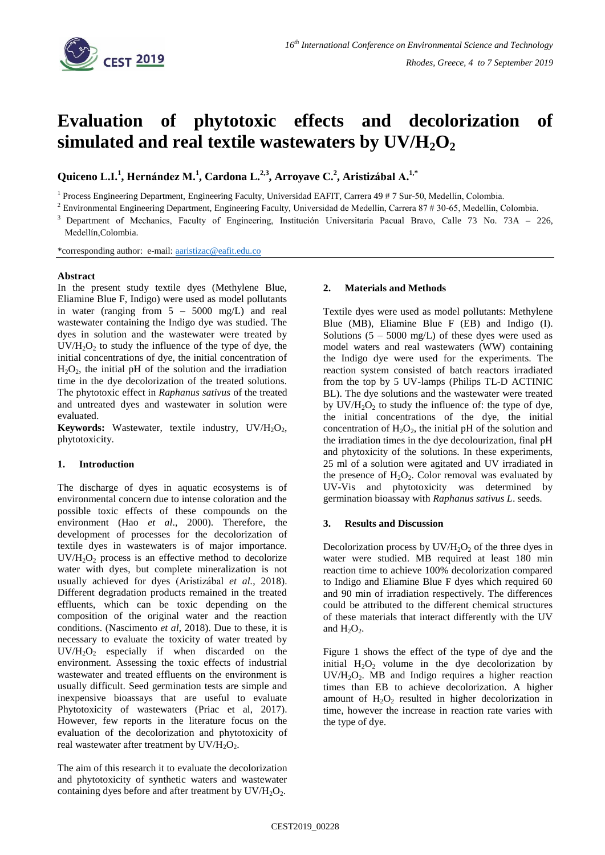

# **Evaluation of phytotoxic effects and decolorization of simulated and real textile wastewaters by UV/H2O<sup>2</sup>**

**Quiceno L.I. 1 , Hernández M.<sup>1</sup> , Cardona L.2,3 , Arroyave C. 2 , Aristizábal A.1,\***

<sup>1</sup> Process Engineering Department, Engineering Faculty, Universidad EAFIT, Carrera 49 # 7 Sur-50, Medellín, Colombia.

 $2$  Environmental Engineering Department, Engineering Faculty, Universidad de Medellín, Carrera 87 # 30-65, Medellín, Colombia.

<sup>3</sup>Department of Mechanics, Faculty of Engineering, Institución Universitaria Pacual Bravo, Calle 73 No. 73A – 226, Medellín,Colombia.

\*corresponding author: e-mail: [aaristizac@eafit.edu.co](mailto:aaristizac@eafit.edu.co)

# **Abstract**

In the present study textile dyes (Methylene Blue, Eliamine Blue F, Indigo) were used as model pollutants in water (ranging from 5 – 5000 mg/L) and real wastewater containing the Indigo dye was studied. The dyes in solution and the wastewater were treated by  $UV/H<sub>2</sub>O<sub>2</sub>$  to study the influence of the type of dye, the initial concentrations of dye, the initial concentration of  $H_2O_2$ , the initial pH of the solution and the irradiation time in the dye decolorization of the treated solutions. The phytotoxic effect in *Raphanus sativus* of the treated and untreated dyes and wastewater in solution were evaluated.

**Keywords:** Wastewater, textile industry, UV/H<sub>2</sub>O<sub>2</sub>, phytotoxicity.

# **1. Introduction**

The discharge of dyes in aquatic ecosystems is of environmental concern due to intense coloration and the possible toxic effects of these compounds on the environment (Hao *et al*., 2000). Therefore, the development of processes for the decolorization of textile dyes in wastewaters is of major importance.  $UV/H<sub>2</sub>O<sub>2</sub>$  process is an effective method to decolorize water with dyes, but complete mineralization is not usually achieved for dyes (Aristizábal *et al.*, 2018). Different degradation products remained in the treated effluents, which can be toxic depending on the composition of the original water and the reaction conditions. [\(Nascimento](javascript:;) *et al*, 2018). Due to these, it is necessary to evaluate the toxicity of water treated by  $UV/H<sub>2</sub>O<sub>2</sub>$  especially if when discarded on the environment. Assessing the toxic effects of industrial wastewater and treated effluents on the environment is usually difficult. Seed germination tests are simple and inexpensive bioassays that are useful to evaluate Phytotoxicity of wastewaters (Priac et al, 2017). However, few reports in the literature focus on the evaluation of the decolorization and phytotoxicity of real wastewater after treatment by  $UV/H_2O_2$ .

The aim of this research it to evaluate the decolorization and phytotoxicity of synthetic waters and wastewater containing dyes before and after treatment by  $UV/H_2O_2$ .

#### **2. Materials and Methods**

Textile dyes were used as model pollutants: Methylene Blue (MB), Eliamine Blue F (EB) and Indigo (I). Solutions  $(5 - 5000 \text{ mg/L})$  of these dyes were used as model waters and real wastewaters (WW) containing the Indigo dye were used for the experiments. The reaction system consisted of batch reactors irradiated from the top by 5 UV-lamps (Philips TL-D ACTINIC BL). The dye solutions and the wastewater were treated by  $UV/H_2O_2$  to study the influence of: the type of dye, the initial concentrations of the dye, the initial concentration of  $H_2O_2$ , the initial pH of the solution and the irradiation times in the dye decolourization, final pH and phytoxicity of the solutions. In these experiments, 25 ml of a solution were agitated and UV irradiated in the presence of  $H_2O_2$ . Color removal was evaluated by UV-Vis and phytotoxicity was determined by germination bioassay with *Raphanus sativus L*. seeds.

## **3. Results and Discussion**

Decolorization process by  $UV/H_2O_2$  of the three dyes in water were studied. MB required at least 180 min reaction time to achieve 100% decolorization compared to Indigo and Eliamine Blue F dyes which required 60 and 90 min of irradiation respectively. The differences could be attributed to the different chemical structures of these materials that interact differently with the UV and  $H_2O_2$ .

Figure 1 shows the effect of the type of dye and the initial  $H_2O_2$  volume in the dye decolorization by  $UV/H<sub>2</sub>O<sub>2</sub>$ . MB and Indigo requires a higher reaction times than EB to achieve decolorization. A higher amount of  $H_2O_2$  resulted in higher decolorization in time, however the increase in reaction rate varies with the type of dye.